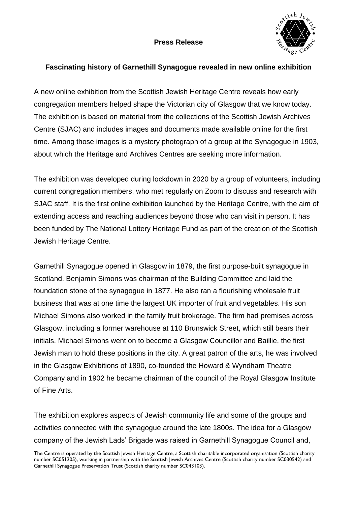#### **Press Release**



#### **Fascinating history of Garnethill Synagogue revealed in new online exhibition**

A new online exhibition from the Scottish Jewish Heritage Centre reveals how early congregation members helped shape the Victorian city of Glasgow that we know today. The exhibition is based on material from the collections of the Scottish Jewish Archives Centre (SJAC) and includes images and documents made available online for the first time. Among those images is a mystery photograph of a group at the Synagogue in 1903, about which the Heritage and Archives Centres are seeking more information.

The exhibition was developed during lockdown in 2020 by a group of volunteers, including current congregation members, who met regularly on Zoom to discuss and research with SJAC staff. It is the first online exhibition launched by the Heritage Centre, with the aim of extending access and reaching audiences beyond those who can visit in person. It has been funded by The National Lottery Heritage Fund as part of the creation of the Scottish Jewish Heritage Centre.

Garnethill Synagogue opened in Glasgow in 1879, the first purpose-built synagogue in Scotland. Benjamin Simons was chairman of the Building Committee and laid the foundation stone of the synagogue in 1877. He also ran a flourishing wholesale fruit business that was at one time the largest UK importer of fruit and vegetables. His son Michael Simons also worked in the family fruit brokerage. The firm had premises across Glasgow, including a former warehouse at 110 Brunswick Street, which still bears their initials. Michael Simons went on to become a Glasgow Councillor and Baillie, the first Jewish man to hold these positions in the city. A great patron of the arts, he was involved in the Glasgow Exhibitions of 1890, co-founded the Howard & Wyndham Theatre Company and in 1902 he became chairman of the council of the Royal Glasgow Institute of Fine Arts.

The exhibition explores aspects of Jewish community life and some of the groups and activities connected with the synagogue around the late 1800s. The idea for a Glasgow company of the Jewish Lads' Brigade was raised in Garnethill Synagogue Council and,

The Centre is operated by the Scottish Jewish Heritage Centre, a Scottish charitable incorporated organisation (Scottish charity number SC051205), working in partnership with the Scottish Jewish Archives Centre (Scottish charity number SC030542) and Garnethill Synagogue Preservation Trust (Scottish charity number SC043103).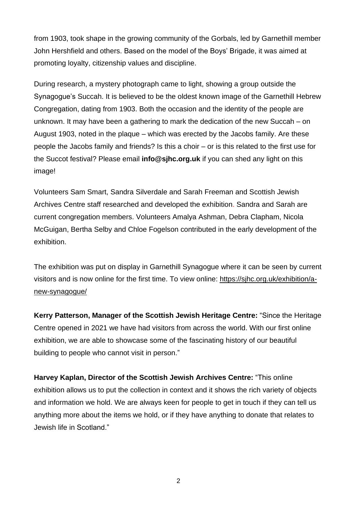from 1903, took shape in the growing community of the Gorbals, led by Garnethill member John Hershfield and others. Based on the model of the Boys' Brigade, it was aimed at promoting loyalty, citizenship values and discipline.

During research, a mystery photograph came to light, showing a group outside the Synagogue's Succah. It is believed to be the oldest known image of the Garnethill Hebrew Congregation, dating from 1903. Both the occasion and the identity of the people are unknown. It may have been a gathering to mark the dedication of the new Succah – on August 1903, noted in the plaque – which was erected by the Jacobs family. Are these people the Jacobs family and friends? Is this a choir – or is this related to the first use for the Succot festival? Please email **info@sjhc.org.uk** if you can shed any light on this image!

Volunteers Sam Smart, Sandra Silverdale and Sarah Freeman and Scottish Jewish Archives Centre staff researched and developed the exhibition. Sandra and Sarah are current congregation members. Volunteers Amalya Ashman, Debra Clapham, Nicola McGuigan, Bertha Selby and Chloe Fogelson contributed in the early development of the exhibition.

The exhibition was put on display in Garnethill Synagogue where it can be seen by current visitors and is now online for the first time. To view online: [https://sjhc.org.uk/exhibition/a](https://sjhc.org.uk/exhibition/a-new-synagogue/)[new-synagogue/](https://sjhc.org.uk/exhibition/a-new-synagogue/)

**Kerry Patterson, Manager of the Scottish Jewish Heritage Centre:** "Since the Heritage Centre opened in 2021 we have had visitors from across the world. With our first online exhibition, we are able to showcase some of the fascinating history of our beautiful building to people who cannot visit in person."

**Harvey Kaplan, Director of the Scottish Jewish Archives Centre:** "This online exhibition allows us to put the collection in context and it shows the rich variety of objects and information we hold. We are always keen for people to get in touch if they can tell us anything more about the items we hold, or if they have anything to donate that relates to Jewish life in Scotland."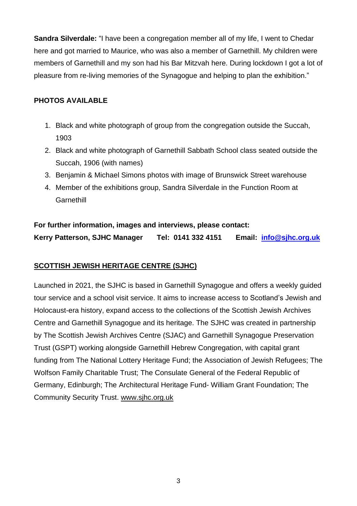**Sandra Silverdale:** "I have been a congregation member all of my life, I went to Chedar here and got married to Maurice, who was also a member of Garnethill. My children were members of Garnethill and my son had his Bar Mitzvah here. During lockdown I got a lot of pleasure from re-living memories of the Synagogue and helping to plan the exhibition."

### **PHOTOS AVAILABLE**

- 1. Black and white photograph of group from the congregation outside the Succah, 1903
- 2. Black and white photograph of Garnethill Sabbath School class seated outside the Succah, 1906 (with names)
- 3. Benjamin & Michael Simons photos with image of Brunswick Street warehouse
- 4. Member of the exhibitions group, Sandra Silverdale in the Function Room at **Garnethill**

#### **For further information, images and interviews, please contact:**

**Kerry Patterson, SJHC Manager Tel: 0141 332 4151 Email: info@sjhc.org.uk** 

## **SCOTTISH JEWISH HERITAGE CENTRE (SJHC)**

Launched in 2021, the SJHC is based in Garnethill Synagogue and offers a weekly guided tour service and a school visit service. It aims to increase access to Scotland's Jewish and Holocaust-era history, expand access to the collections of the Scottish Jewish Archives Centre and Garnethill Synagogue and its heritage. The SJHC was created in partnership by The Scottish Jewish Archives Centre (SJAC) and Garnethill Synagogue Preservation Trust (GSPT) working alongside Garnethill Hebrew Congregation, with capital grant funding from The National Lottery Heritage Fund; the Association of Jewish Refugees; The Wolfson Family Charitable Trust; The Consulate General of the Federal Republic of Germany, Edinburgh; The Architectural Heritage Fund- William Grant Foundation; The Community Security Trust. [www.sjhc.org.uk](http://www.sjhc.org.uk/)